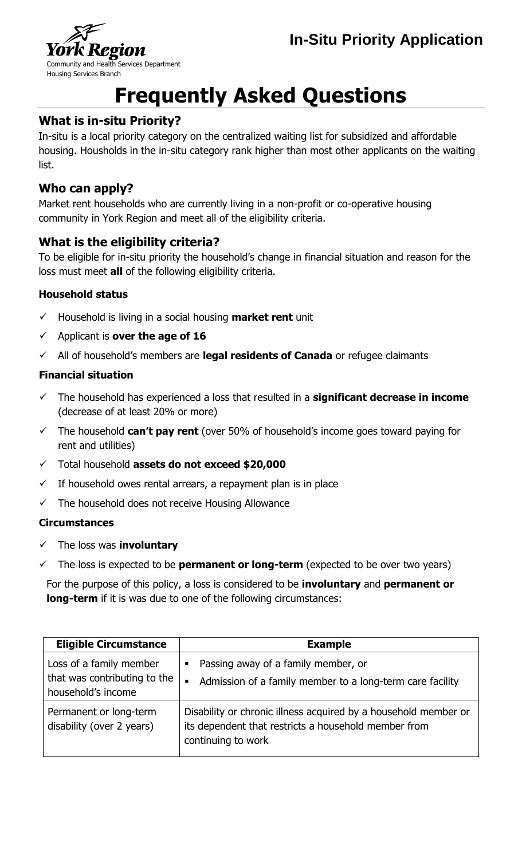



# **Frequently Asked Questions**

### **What is in-situ Priority?**

In-situ is a local priority category on the centralized waiting list for subsidized and affordable housing. Housholds in the in-situ category rank higher than most other applicants on the waiting list.

#### **Who can apply?**

Market rent households who are currently living in a non-profit or co-operative housing community in York Region and meet all of the eligibility criteria.

# **What is the eligibility criteria?**

To be eligible for in-situ priority the household's change in financial situation and reason for the loss must meet **all** of the following eligibility criteria.

#### **Household status**

- $\checkmark$  Household is living in a social housing **market rent** unit
- $\checkmark$  Applicant is **over the age of 16**
- All of household's members are **legal residents of Canada** or refugee claimants

#### **Financial situation**

- The household has experienced a loss that resulted in a **significant decrease in income**  (decrease of at least 20% or more)
- The household **can't pay rent** (over 50% of household's income goes toward paying for rent and utilities)
- Total household **assets do not exceed \$20,000**
- If household owes rental arrears, a repayment plan is in place
- $\checkmark$  The household does not receive Housing Allowance

#### **Circumstances**

- The loss was **involuntary**
- The loss is expected to be **permanent or long-term** (expected to be over two years)

For the purpose of this policy, a loss is considered to be **involuntary** and **permanent or long-term** if it is was due to one of the following circumstances:

| <b>Eligible Circumstance</b>                                                  | <b>Example</b>                                                                                                                                |
|-------------------------------------------------------------------------------|-----------------------------------------------------------------------------------------------------------------------------------------------|
| Loss of a family member<br>that was contributing to the<br>household's income | Passing away of a family member, or<br>Е<br>Admission of a family member to a long-term care facility<br>$\blacksquare$                       |
| Permanent or long-term<br>disability (over 2 years)                           | Disability or chronic illness acquired by a household member or<br>its dependent that restricts a household member from<br>continuing to work |